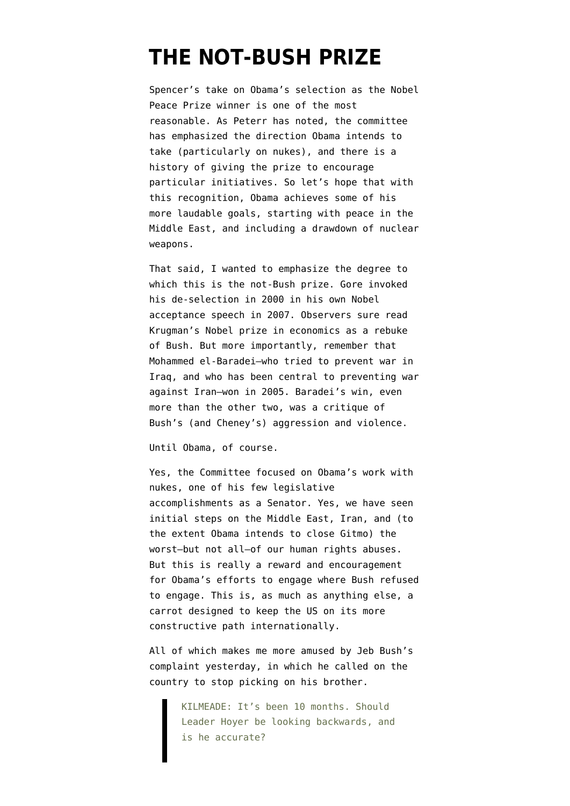## **[THE NOT-BUSH PRIZE](https://www.emptywheel.net/2009/10/09/the-not-bush-prize/)**

Spencer's [take](http://attackerman.firedoglake.com/2009/10/09/nobel-its-not-the-achievements-themselves-its-the-destination/) on Obama's selection as the Nobel Peace Prize winner is one of the most reasonable. As Peterr [has noted,](http://firedoglake.com/2009/10/09/the-nobel-is-great-but-the-press-release-is-even-better/) the committee has emphasized the direction Obama intends to take (particularly on nukes), and there is a history of giving the prize to encourage particular initiatives. So let's hope that with this recognition, Obama achieves some of his more laudable goals, starting with peace in the Middle East, and including a drawdown of nuclear weapons.

That said, I wanted to emphasize the degree to which this is the not-Bush prize. Gore [invoked](http://nobelprize.org/nobel_prizes/peace/laureates/2007/gore-lecture_en.html) his de-selection in 2000 in his own Nobel acceptance speech in 2007. Observers sure read Krugman's Nobel prize in economics as a rebuke of Bush. But more importantly, remember that Mohammed el-Baradei–who tried to prevent war in Iraq, and who has been central to preventing war against Iran[–won in 2005.](http://nobelprize.org/nobel_prizes/peace/laureates/2005/elbaradei-lecture-en.html) Baradei's win, even more than the other two, was a critique of Bush's (and Cheney's) aggression and violence.

Until Obama, of course.

Yes, the Committee focused on Obama's work with nukes, one of his few legislative accomplishments as a Senator. Yes, we have seen initial steps on the Middle East, Iran, and (to the extent Obama intends to close Gitmo) the worst–but not all–of our human rights abuses. But this is really a reward and encouragement for Obama's efforts to engage where Bush refused to engage. This is, as much as anything else, a carrot designed to keep the US on its more constructive path internationally.

All of which makes me more amused by [Jeb Bush's](http://thinkprogress.org/2009/10/08/jeb-obama-pants/) [complaint](http://thinkprogress.org/2009/10/08/jeb-obama-pants/) yesterday, in which he called on the country to stop picking on his brother.

> KILMEADE: It's been 10 months. Should Leader Hoyer be looking backwards, and is he accurate?